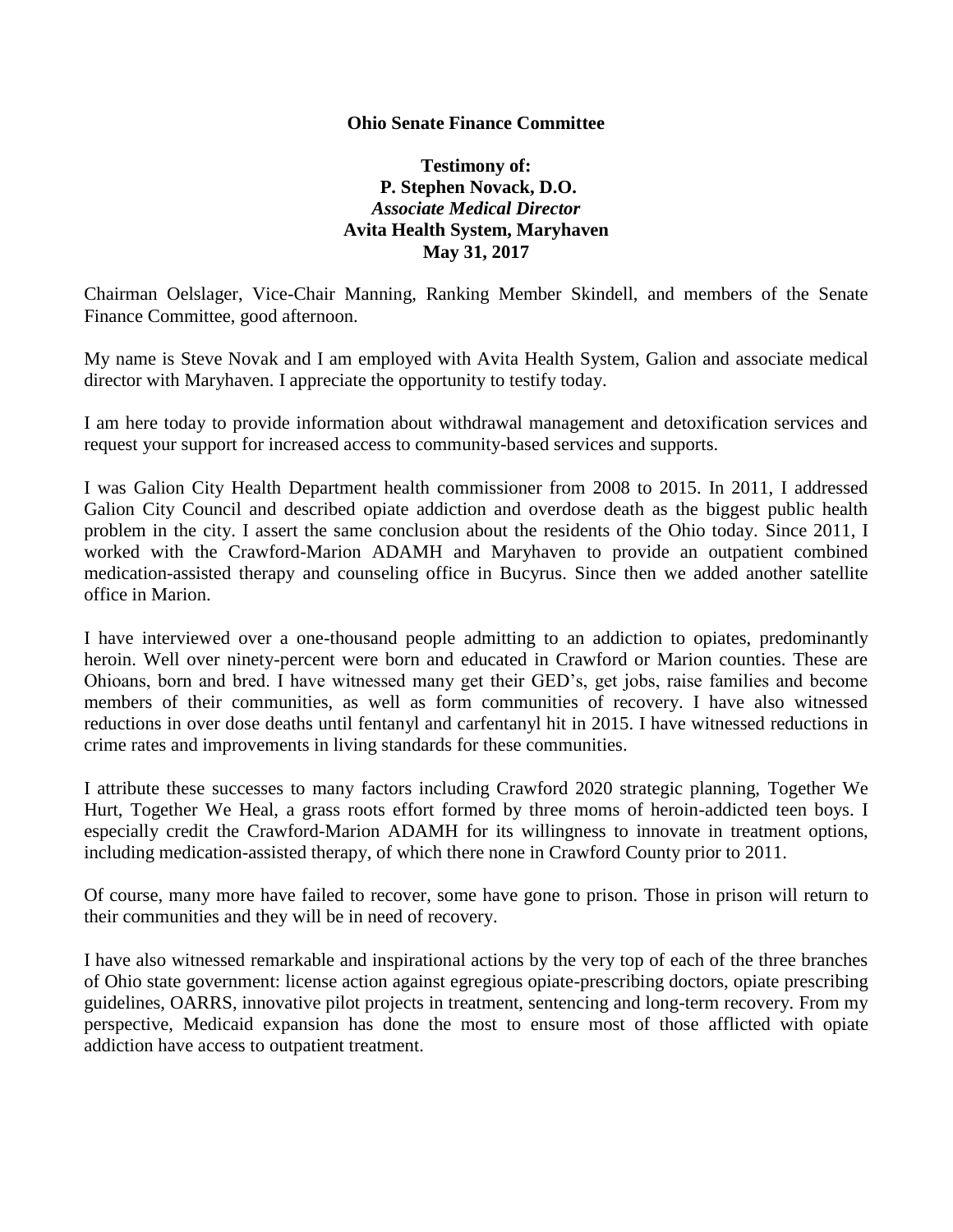## **Ohio Senate Finance Committee**

## **Testimony of: P. Stephen Novack, D.O.** *Associate Medical Director*  **Avita Health System, Maryhaven May 31, 2017**

Chairman Oelslager, Vice-Chair Manning, Ranking Member Skindell, and members of the Senate Finance Committee, good afternoon.

My name is Steve Novak and I am employed with Avita Health System, Galion and associate medical director with Maryhaven. I appreciate the opportunity to testify today.

I am here today to provide information about withdrawal management and detoxification services and request your support for increased access to community-based services and supports.

I was Galion City Health Department health commissioner from 2008 to 2015. In 2011, I addressed Galion City Council and described opiate addiction and overdose death as the biggest public health problem in the city. I assert the same conclusion about the residents of the Ohio today. Since 2011, I worked with the Crawford-Marion ADAMH and Maryhaven to provide an outpatient combined medication-assisted therapy and counseling office in Bucyrus. Since then we added another satellite office in Marion.

I have interviewed over a one-thousand people admitting to an addiction to opiates, predominantly heroin. Well over ninety-percent were born and educated in Crawford or Marion counties. These are Ohioans, born and bred. I have witnessed many get their GED's, get jobs, raise families and become members of their communities, as well as form communities of recovery. I have also witnessed reductions in over dose deaths until fentanyl and carfentanyl hit in 2015. I have witnessed reductions in crime rates and improvements in living standards for these communities.

I attribute these successes to many factors including Crawford 2020 strategic planning, Together We Hurt, Together We Heal, a grass roots effort formed by three moms of heroin-addicted teen boys. I especially credit the Crawford-Marion ADAMH for its willingness to innovate in treatment options, including medication-assisted therapy, of which there none in Crawford County prior to 2011.

Of course, many more have failed to recover, some have gone to prison. Those in prison will return to their communities and they will be in need of recovery.

I have also witnessed remarkable and inspirational actions by the very top of each of the three branches of Ohio state government: license action against egregious opiate-prescribing doctors, opiate prescribing guidelines, OARRS, innovative pilot projects in treatment, sentencing and long-term recovery. From my perspective, Medicaid expansion has done the most to ensure most of those afflicted with opiate addiction have access to outpatient treatment.